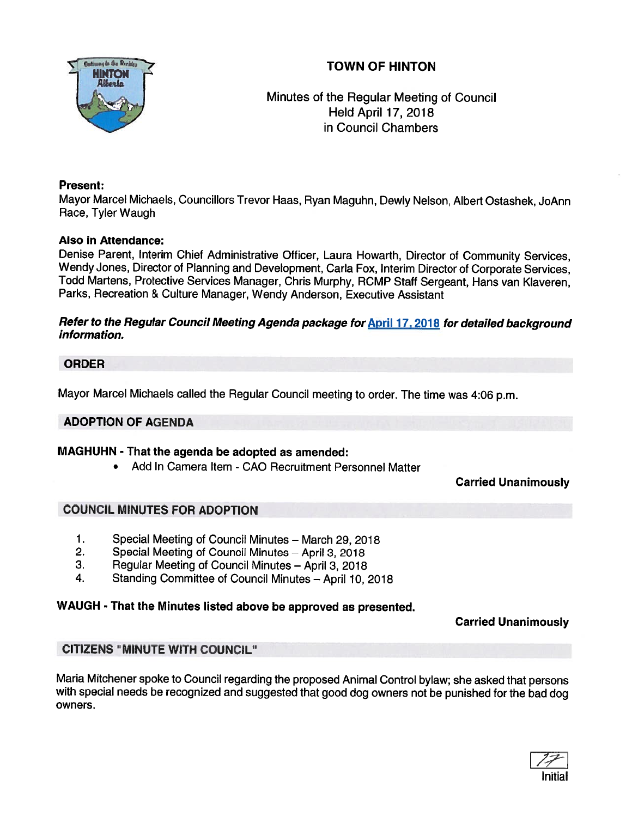# TOWN OF HINTON



Minutes of the Regular Meeting of Council Held April 17, 2018 in Council Chambers

## Present:

Mayor Marcel Michaels, Councillors Trevor Haas, Ryan Maguhn, Dewly Nelson, Albert Ostashek, JoAnn Race, Tyler Waugh

## Also in Attendance:

Denise Parent, Interim Chief Administrative Officer, Laura Howarth, Director of Community Services, Wendy Jones, Director of Planning and Development, Carla Fox, Interim Director of Corporate Services, Todd Martens, Protective Services Manager, Chris Murphy, RCMP Staff Sergeant, Hans van Klaveren, Parks, Recreation & Culture Manager, Wendy Anderson, Executive Assistant

### Refer to the Regular Council Meeting Agenda package for April 17, 2018 for detailed background information.

## ORDER

Mayor Marcel Michaels called the Regular Council meeting to order. The time was 4:06 p.m.

### ADOPTION OF AGENDA

### MAGHUHN - That the agenda be adopted as amended:

•Add In Camera Item - CAO Recruitment Personnel Matter

# Carried Unanimously

### COUNCIL MINUTES FOR ADOPTION

- 1. Special Meeting of Council Minutes March 29, 2018
- 2. Special Meeting of Council Minutes April 3, 2018
- 3. Regular Meeting of Council Minutes April 3, <sup>2018</sup>
- 4. Standing Committee of Council Minutes April 10, 2018

# WAUGH - That the Minutes listed above be approve<sup>d</sup> as presented.

Carried Unanimously

# CITIZENS "MINUTE WITH COUNCIL"

Maria Mitchener spoke to Council regarding the propose<sup>d</sup> Animal Control bylaw; she asked that persons with special needs be recognized and suggested that goo<sup>d</sup> dog owners not be punished for the bad dog owners.

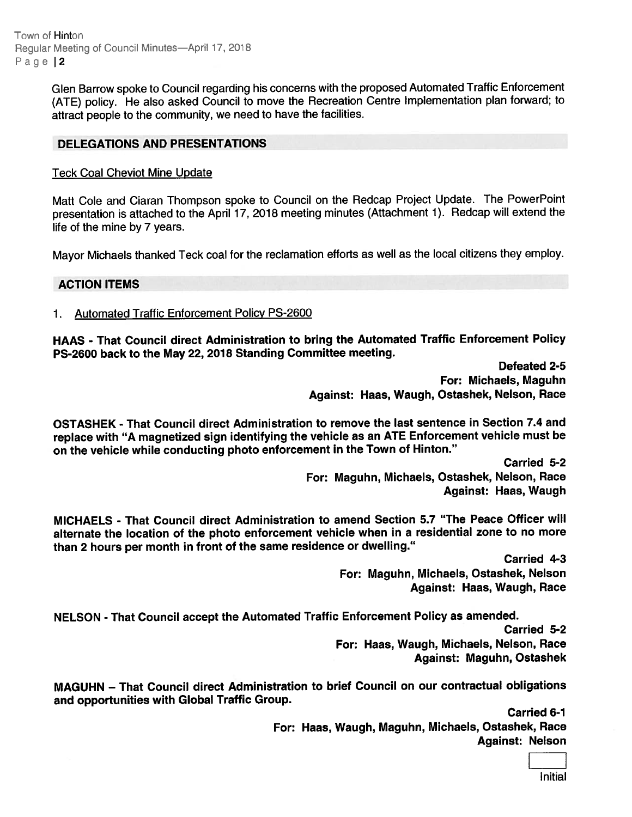Town of Hinton Regular Meeting of Council Minutes—April 17, 2018 Page | 2

> Glen Barrow spoke to Council regarding his concerns with the propose<sup>d</sup> Automated Traffic Enforcement (ATE) policy. He also asked Council to move the Recreation Centre Implementation <sup>p</sup>lan forward; to attract people to the community, we need to have the facilities.

#### DELEGATIONS AND PRESENTATIONS

#### Teck Coal Cheviot Mine Update

Matt Cole and Ciaran Thompson spoke to Council on the Redcap Project Update. The PowerPoint presentation is attached to the April 17, <sup>2018</sup> meeting minutes (Attachment 1). Redcap will extend the life of the mine by 7 years.

Mayor Michaels thanked Teck coal for the reclamation efforts as well as the local citizens they employ.

#### ACTION ITEMS

1. Automated Traffic Enforcement Policy PS-2600

HAAS - That Council direct Administration to bring the Automated Traffic Enforcement Policy PS-2600 back to the May 22, 2018 Standing Committee meeting.

> Defeated 2-5 For: Michaels, Maguhn Against: Haas, Waugh, Ostashek, Nelson, Race

OSTASHEK - That Council direct Administration to remove the last sentence in Section 7.4 and replace with "A magnetized sign identifying the vehicle as an ATE Enforcement vehicle must be on the vehicle while conducting <sup>p</sup>hoto enforcement in the Town of Hinton."

Carried 5-2 For: Maguhn, Michaels, Ostashek, Nelson, Race Against: Haas, Waugh

MJCHAELS - That Council direct Administration to amend Section 5.7 "The Peace Officer will alternate the location of the <sup>p</sup>hoto enforcement vehicle when in <sup>a</sup> residential zone to no more than <sup>2</sup> hours per month in front of the same residence or dwelling."

> Carried 4-3 For: Maguhn, Michaels, Ostashek, Nelson Against: Haas, Waugh, Race

NELSON - That Council accep<sup>t</sup> the Automated Traffic Enforcement Policy as amended. Carried 5-2 For: Haas, Waugh, Michaels, Nelson, Race Against: Maguhn, Ostashek

MAGUHN — That Council direct Administration to brief Council on our contractual obligations and opportunities with Global Traffic Group.

> Carried 6-1 For: Haas, Waugh, Maguhn, Michaels, Ostashek, Race Against: Nelson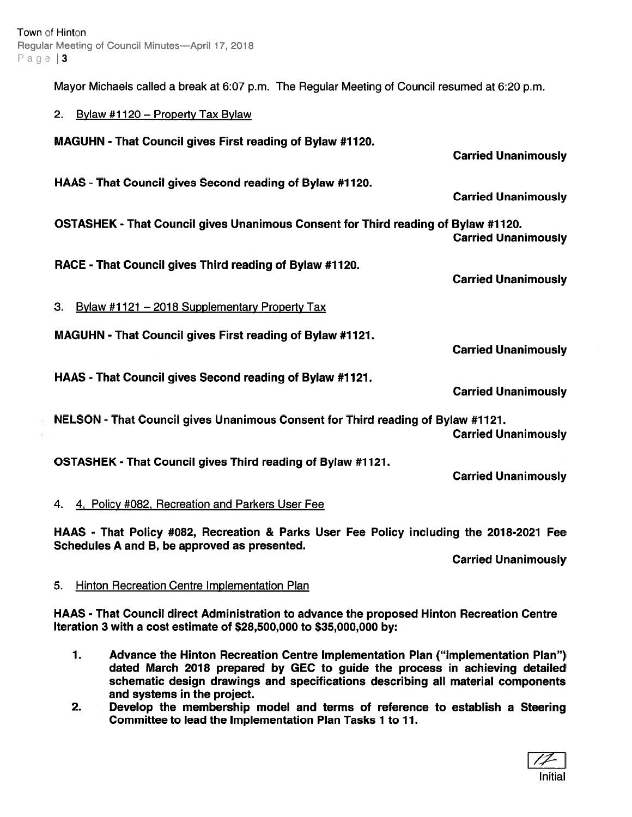Mayor Michaels called <sup>a</sup> break at 6:07 p.m. The Regular Meeting of Council resumed at 6:20 p.m.

| 2. Bylaw #1120 – Property Tax Bylaw                                               |                            |
|-----------------------------------------------------------------------------------|----------------------------|
| MAGUHN - That Council gives First reading of Bylaw #1120.                         | <b>Carried Unanimously</b> |
| HAAS - That Council gives Second reading of Bylaw #1120.                          | <b>Carried Unanimously</b> |
| OSTASHEK - That Council gives Unanimous Consent for Third reading of Bylaw #1120. | <b>Carried Unanimously</b> |
| RACE - That Council gives Third reading of Bylaw #1120.                           | <b>Carried Unanimously</b> |
| 3.<br><b>Bylaw #1121 - 2018 Supplementary Property Tax</b>                        |                            |
| MAGUHN - That Council gives First reading of Bylaw #1121.                         | <b>Carried Unanimously</b> |
| HAAS - That Council gives Second reading of Bylaw #1121.                          | <b>Carried Unanimously</b> |
| NELSON - That Council gives Unanimous Consent for Third reading of Bylaw #1121.   | <b>Carried Unanimously</b> |
| OSTASHEK - That Council gives Third reading of Bylaw #1121.                       | <b>Carried Unanimously</b> |
| 4, Policy #082, Recreation and Parkers User Fee<br>4.                             |                            |
|                                                                                   |                            |

HAAS - That Policy #082, Recreation & Parks User Fee Policy including the 2018-2021 Fee Schedules A and B, be approved as presented.

Carried Unanimously

# 5. Hinton Recreation Centre Implementation Plan

HAAS - That Council direct Administration to advance the proposed Hinton Recreation Centre Iteration 3 with <sup>a</sup> cost estimate of \$28,500,000 to \$35,000,000 by:

- 1. Advance the Hinton Recreation Centre Implementation Plan ("Implementation Plan") dated March 2018 prepared by GEC to guide the process in achieving detailed schematic design drawings and specifications describing all material components and systems in the project.
- 2. Develop the membership model and terms of reference to establish <sup>a</sup> Steering Committee to lead the Implementation Plan Tasks 7 to 71.

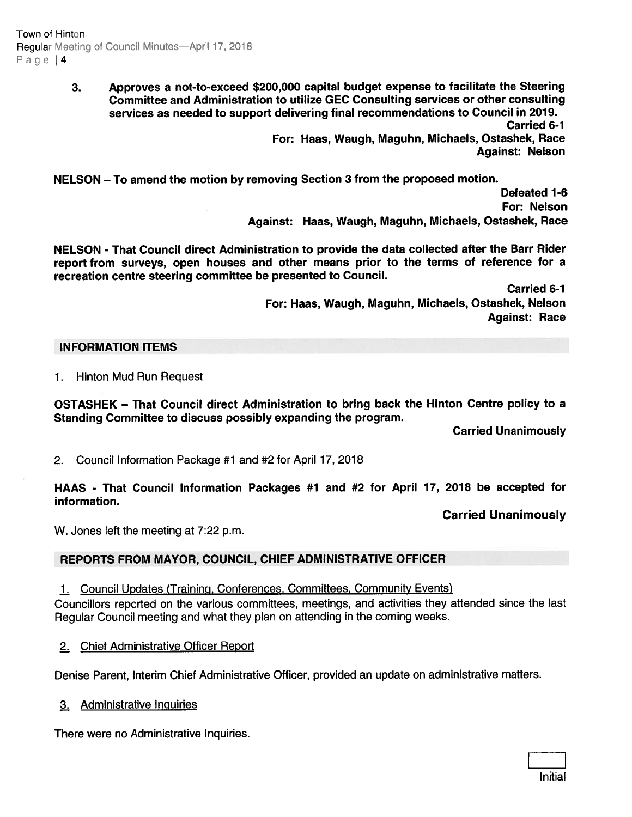Town of Hinton Regular Meeting of Council Minutes— April 17, 2018 Page | 4

> 3. Approves <sup>a</sup> not-to-exceed \$200,000 capital budget expense to facilitate the Steering Committee and Administration to utilize GEC Consulting services or other consulting services as needed to suppor<sup>t</sup> delivering final recommendations to Council in 2019. Carried 6-1

For: Haas, Waugh, Maguhn, Michaels, Ostashek, Race Against: Nelson

NELSON — To amend the motion by removing Section 3 from the proposed motion.

Defeated 1-6 For: Nelson Against: Haas, Waugh, Maguhn, Michaels, Ostashek, Race

NELSON - That Council direct Administration to provide the data collected after the Barr Rider repor<sup>t</sup> from surveys, open houses and other means prior to the terms of reference for <sup>a</sup> recreation centre steering committee be presented to Council.

> Carried 6-1 For: Haas, Waugh, Maguhn, Michaels, Ostashek, Nelson Against: Race

#### INFORMATION ITEMS

1. Hinton Mud Run Request

OSTASHEK — That Council direct Administration to bring back the Hinton Centre policy to <sup>a</sup> Standing Committee to discuss possibly expanding the program.

Carried Unanimously

2. Council Information Package #1 and #2 for April 17, 2018

HAAS - That Council Information Packages #1 and #2 for April 17, 2018 be accepted for information.

Carried Unanimously

W. Jones left the meeting at 7:22 p.m.

### REPORTS FROM MAYOR, COUNCIL, CHIEF ADMINISTRATIVE OFFICER

1. Council Updates (Training, Conferences, Committees, Community Events) Councillors reported on the various committees, meetings, and activities they attended since the last Regular Council meeting and what they <sup>p</sup>lan on attending in the coming weeks.

2. Chief Administrative Officer Report

Denise Parent, Interim Chief Administrative Officer, provided an update on administrative matters.

3. Administrative Inguiries

There were no Administrative Inquiries.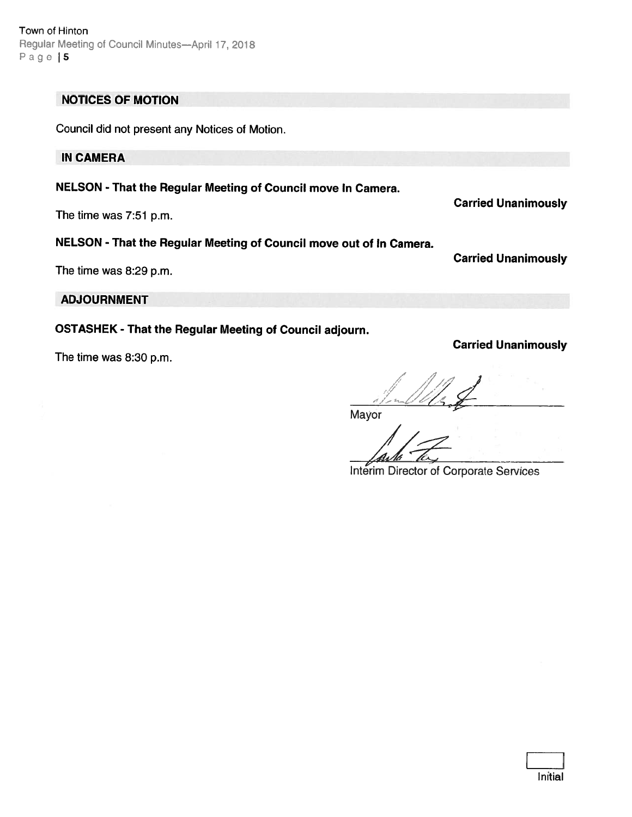Initial

Town of Hinton Regular Meeting of Council Minutes—April 17, 2018 Page | 5

# NOTICES OF MOTION

Council did not presen<sup>t</sup> any Notices of Motion.

# IN CAMERA

NELSON - That the Regular Meeting of Council move In Camera.

The time was 7:51 p.m.

# NELSON - That the Regular Meeting of Council move out of In Camera.

The time was 8:29 p.m.

Carried Unanimously

ADJOURNMENT

OSTASHEK - That the Regular Meeting of Council adjourn.

The time was 8:30 p.m.

Mayor

Interim Director of Corporate Senices

/ / ,, I /. i/I- --

Carried Unanimously

Carried Unanimously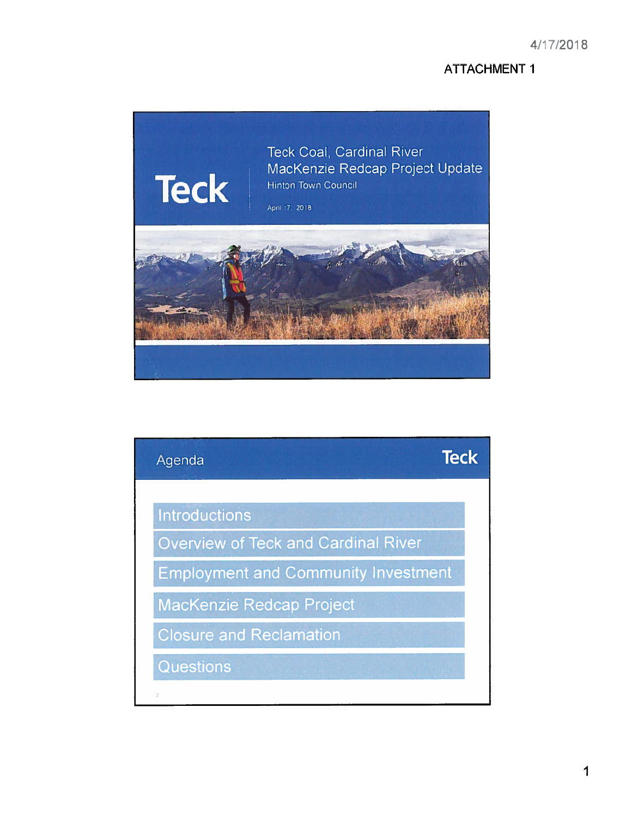# **ATTACHMENT 1**



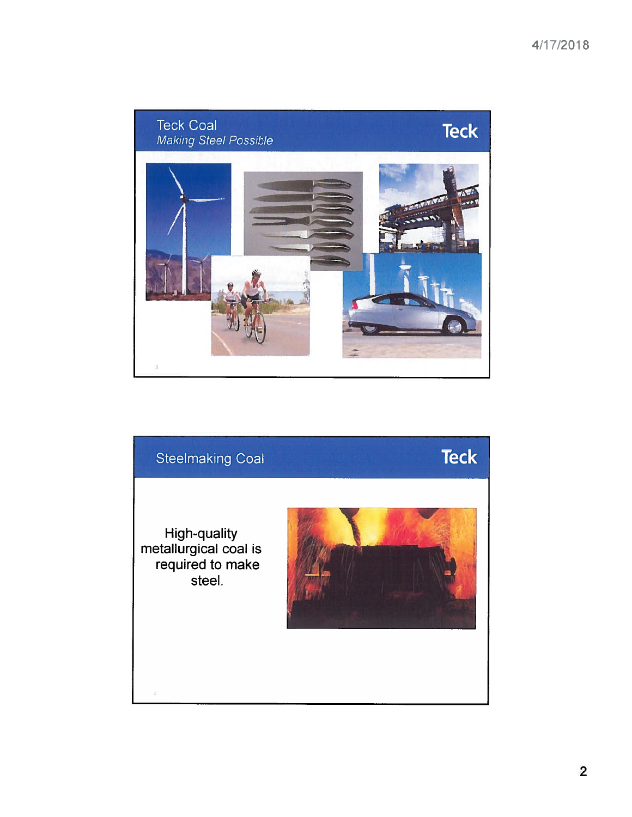

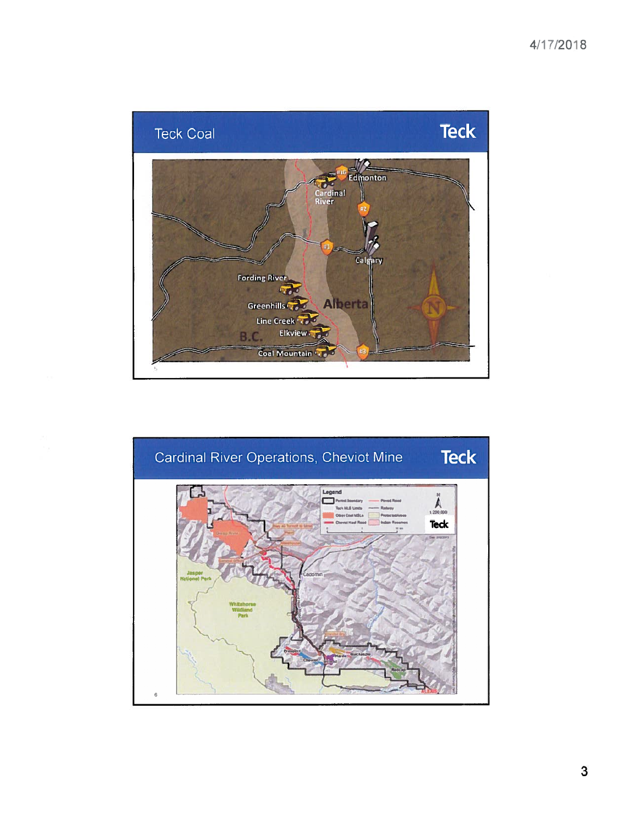# 4/17/2018





3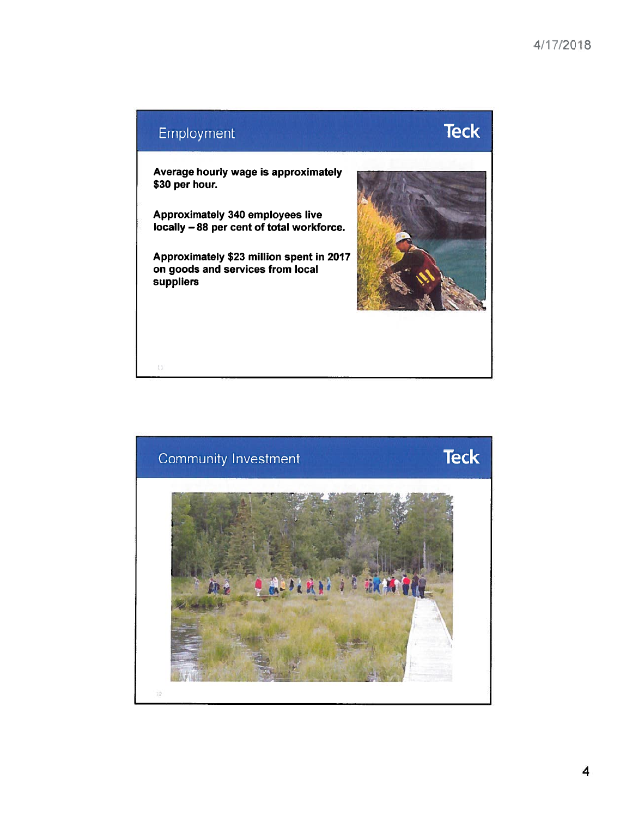

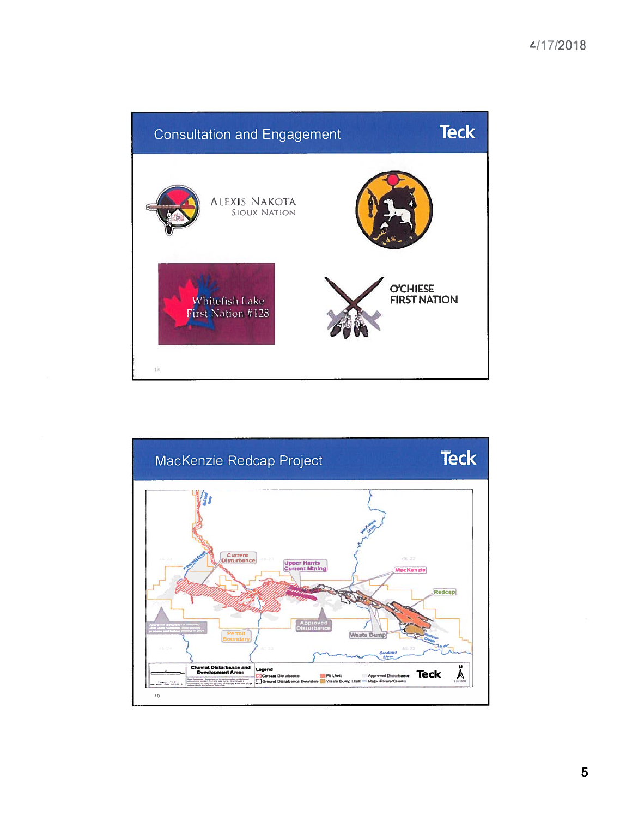

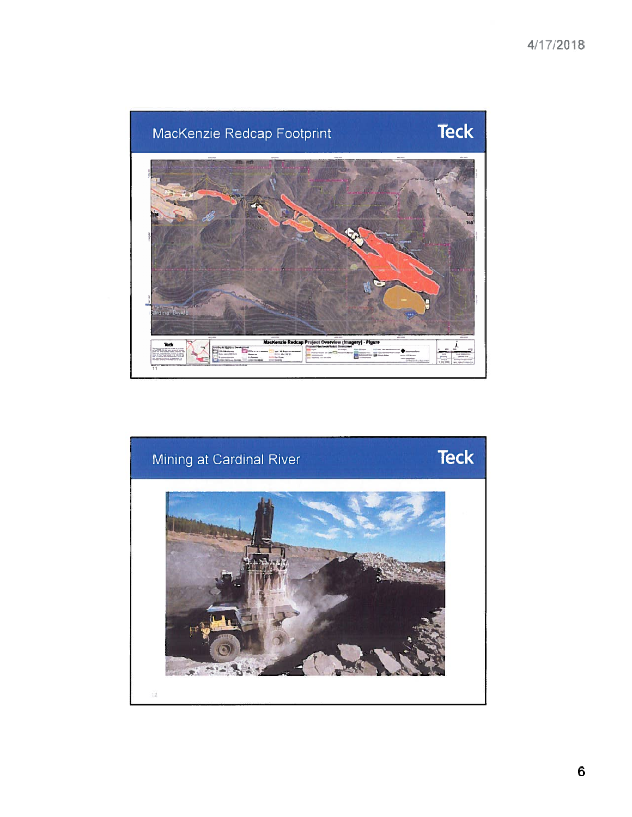